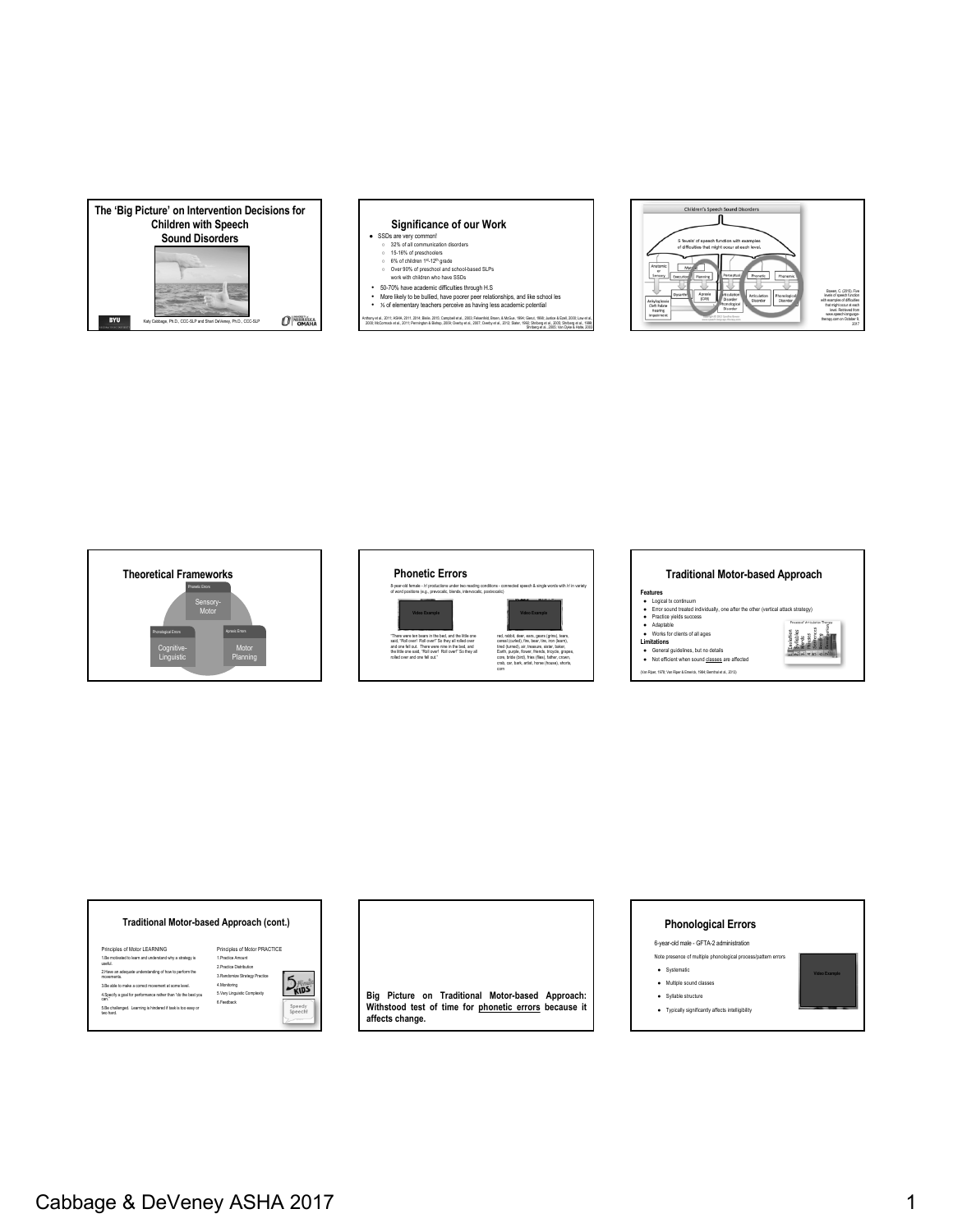

### **Significance of our Work**

- 
- 
- SSDs are very common!<br>
 32% of all communication disorders<br>
 15-16% of preschoolers<br>
 6% of children 1st-12<sup>n</sup> grade<br>
 Over 90% of preschool and school-based SLPs<br>
work with children who have SSDs
- 
- 50-70% have academic difficulties through H.S More likely to be bullied, have poorer peer relationships, and like school les ⅓ of elementary teachers perceive as having less academic potential

Anthony et al., 2011; ASHA, 2011; 2014; Bleile, 2015; Campbell et al., 2003; Falsenfeld, Broen, & McGue, 1994; Glenut, 1996; Justice & Ezell, 2000; Lawet al.,<br>2000; McCormack et al., 2011; Pennington & Blahop, 2009; Overby

Shriberg et al., 2005; Van Dyke & Holte, 2003







# **Traditional Motor-based Approach Features**<br>
● Logical tx continuum<br>
● Error sound treated individually, one after the other (vertical attack strategy)<br>
● Practice yields success<br>
● Works for clients of all ages<br>
● Works for clients of all ages Isolation<br>Syllabes<br>Werts<br>Sameros<br>Samerosion<br>Lanarsonic **Limitations**<br>● General guidelines, but no details<br>● Not efficient when sound classes are affected (Van Riper, 1978; Van Riper & Emerick, 1984; Bernthal et al., 2013)

### **Traditional Motor-based Approach (cont.)**

| Principles of Motor LEARNING                                             | Principles of Motor PRA       |
|--------------------------------------------------------------------------|-------------------------------|
| 1.Be motivated to learn and understand why a strategy is<br>needul       | 1 Practice Amount             |
|                                                                          | 2 Practice Distribution       |
| 2. Have an adequate understanding of how to perform the<br>movements     | 3.Randomize Strategy Practice |
| 3 Be able to make a correct movement at some level.                      | 4.Monitorino                  |
| 4. Specify a goal for performance rather than "do the best you<br>can'   | 5. Vary Linguistic Complexity |
|                                                                          | 6 Feedback                    |
| 5.Be challenged. Learning is hindered if task is too easy or<br>han hard |                               |
|                                                                          |                               |



**Big Picture on Traditional Motor-based Approach: Withstood test of time for phonetic errors because it affects change.**

### **Phonological Errors**

6-year-old male - GFTA-2 administration Note presence of multiple phonological process/pa

● Systematic

- Multiple sound classes
- Syllable structure
- Typically significantly affects intelligibility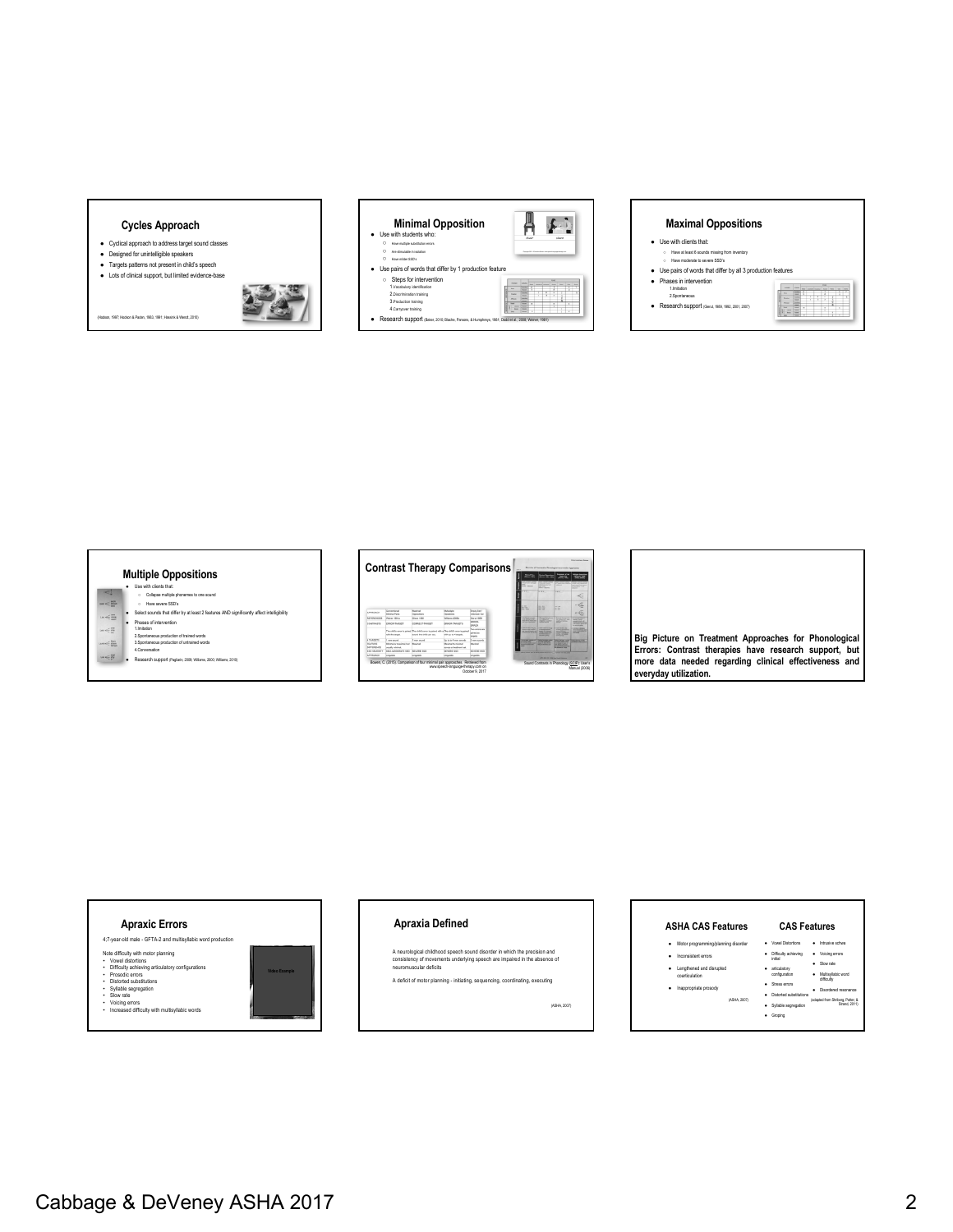### **Cycles Approach**

- Cyclical approach to address target sound classes
- Designed for unintelligible speakers ● Targets patterns not present in child's speech

(Hodson, 1997; Hodson & Paden, 1983, 1991; Hassink & Wendt, 2010)

- Lots of clinical support, but limited evidence-base
- 



## **Maximal Oppositions** ● Use with clients that:

- Have at least 6 sounds missing from inventory<br>○ Have moderate to severe SSD's
- Use pairs of words that differ by all 3 production features
- Phases in intervention 1.Imitation 2.Spontaneous
- Research support (Gierut, 1989, 1992, 2001, 2007)



### **Multiple Oppositions** ● Use with clients that:<br>○ Collapse multiple phonemes to one sound<br>● Select sounds that differ by at least 2 features AND significantly affect intelligibility  $\epsilon$  $\equiv$ ● Phases of intervention 1.Imitation 2.Spontaneous production of trained words 3.Spontaneous production of untrained words 4.Conversation  $\frac{m}{m}$  $\frac{6m}{n^2}$ e Research support (Pagliarin, 2009; Williams, 2000; Williams, 2010)<br>• Research support (Pagliarin, 2009; Williams, 2000; Williams, 2010)



**Big Picture on Treatment Approaches for Phonological Errors: Contrast therapies have research support, but more data needed regarding clinical effectiveness and everyday utilization.**



### • Voicing errors • Increased difficulty with multisyllabic words

### **Apraxia Defined**

A neurological childhood speech sound disorder in which the precision and consistency of movements underlying speech are impaired in the absence of neuromuscular deficits

A deficit of motor planning - initiating, sequencing, coordinating, executing

(ASHA, 2007)

#### **CAS Features**  ● Vowel Distortions ● Intrusive schwa ● Difficulty achieving initial ● Voicing errors ● articulatory<br>configuration<br>● Stress errors ● Slow rate ● Multisyllabic word difficulty ● Disordered resonance ● Motor programming/planning diso ● Inconsistent errors ● Lengthened and disrupted coarticulation **ASHA CAS Features**

● Groping

● Inappropriate prosody (ASHA, 2007)

● Distorted subst ● Syllable segregation (adapted from Shriberg, Potter, & Strand, 2011)